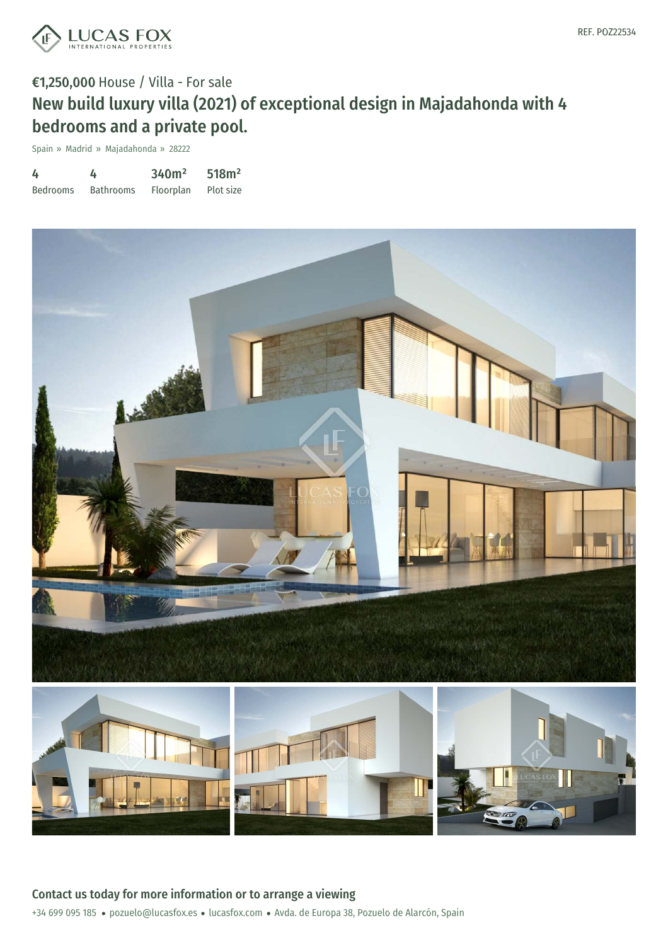

# €1,250,000 House / Villa - For sale New build luxury villa (2021) of exceptional design in Majadahonda with 4 bedrooms and a private pool.

Spain » Madrid » Majadahonda » 28222

| 4               | 4                | 340m <sup>2</sup> | 518m <sup>2</sup> |
|-----------------|------------------|-------------------|-------------------|
| <b>Bedrooms</b> | <b>Bathrooms</b> | Floorplan         | Plot size         |



+34 699 095 185 · pozuelo@lucasfox.es · lucasfox.com · Avda. de Europa 38, Pozuelo de Alarcón, Spain Contact us today for more information or to arrange a viewing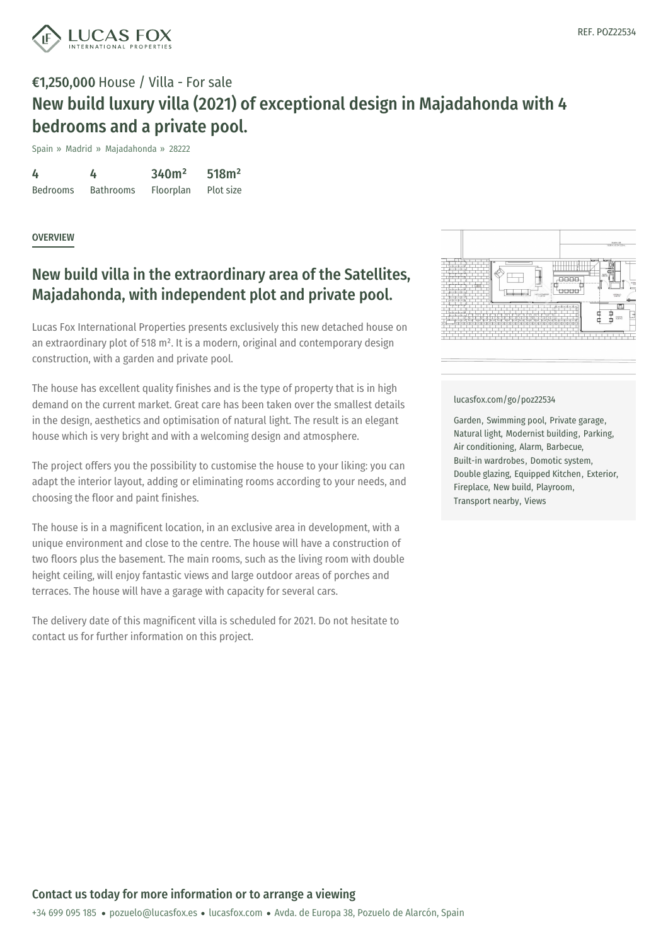

# €1,250,000 House / Villa - For sale New build luxury villa (2021) of exceptional design in Majadahonda with 4 bedrooms and a private pool.

Spain » Madrid » Majadahonda » 28222

| 4               | 4                | 340m <sup>2</sup> | 518m <sup>2</sup> |
|-----------------|------------------|-------------------|-------------------|
| <b>Bedrooms</b> | <b>Bathrooms</b> | Floorplan         | Plot size         |

### **OVERVIEW**

## New build villa in the extraordinary area of the Satellites, Majadahonda, with independent plot and private pool.

Lucas Fox International Properties presents exclusively this new detached house on an extraordinary plot of 518 m<sup>2</sup>. It is a modern, original and contemporary design construction, with a garden and private pool.

The house has excellent quality finishes and is the type of property that is in high demand on the current market. Great care has been taken over the smallest details in the design, aesthetics and optimisation of natural light. The result is an elegant house which is very bright and with a welcoming design and atmosphere.

The project offers you the possibility to customise the house to your liking: you can adapt the interior layout, adding or eliminating rooms according to your needs, and choosing the floor and paint finishes.

The house is in a magnificent location, in an exclusive area in development, with a unique environment and close to the centre. The house will have a construction of two floors plus the basement. The main rooms, such as the living room with double height ceiling, will enjoy fantastic views and large outdoor areas of porches and terraces. The house will have a garage with capacity for several cars.

The delivery date of this magnificent villa is scheduled for 2021. Do not hesitate to contact us for further information on this project.



#### [lucasfox.com/go/poz22534](https://www.lucasfox.com/go/poz22534)

Garden, Swimming pool, Private garage, Natural light, Modernist building, Parking, Air conditioning, Alarm, Barbecue, Built-in wardrobes, Domotic system, Double glazing, Equipped Kitchen, Exterior, Fireplace, New build, Playroom, Transport nearby, Views